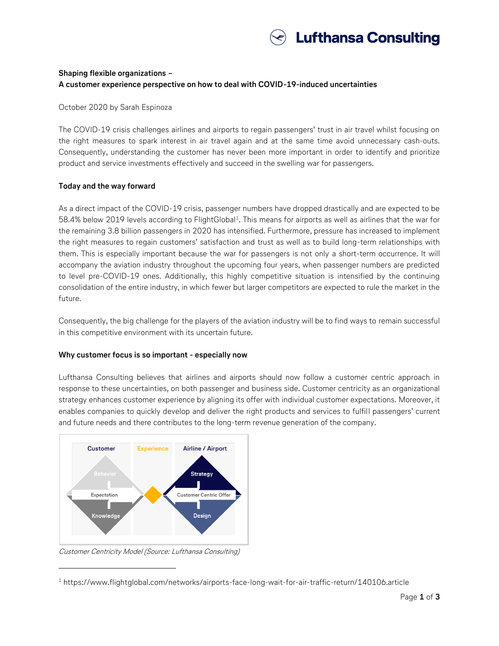

## **Shaping flexible organizations – A customer experience perspective on how to deal with COVID-19-induced uncertainties**

October 2020 by Sarah Espinoza

The COVID-19 crisis challenges airlines and airports to regain passengers' trust in air travel whilst focusing on the right measures to spark interest in air travel again and at the same time avoid unnecessary cash-outs. Consequently, understanding the customer has never been more important in order to identify and prioritize product and service investments effectively and succeed in the swelling war for passengers.

## **Today and the way forward**

As a direct impact of the COVID-19 crisis, passenger numbers have dropped drastically and are expected to be 58.4% below 2019 levels according to FlightGlobal<sup>1</sup>. This means for airports as well as airlines that the war for the remaining 3.8 billion passengers in 2020 has intensified. Furthermore, pressure has increased to implement the right measures to regain customers' satisfaction and trust as well as to build long-term relationships with them. This is especially important because the war for passengers is not only a short-term occurrence. It will accompany the aviation industry throughout the upcoming four years, when passenger numbers are predicted to level pre-COVID-19 ones. Additionally, this highly competitive situation is intensified by the continuing consolidation of the entire industry, in which fewer but larger competitors are expected to rule the market in the future.

Consequently, the big challenge for the players of the aviation industry will be to find ways to remain successful in this competitive environment with its uncertain future.

## **Why customer focus is so important - especially now**

Lufthansa Consulting believes that airlines and airports should now follow a customer centric approach in response to these uncertainties, on both passenger and business side. Customer centricity as an organizational strategy enhances customer experience by aligning its offer with individual customer expectations. Moreover, it enables companies to quickly develop and deliver the right products and services to fulfill passengers' current and future needs and there contributes to the long-term revenue generation of the company.



Customer Centricity Model (Source: Lufthansa Consulting)

 $\overline{a}$ 

<sup>1</sup> https://www.flightglobal.com/networks/airports-face-long-wait-for-air-traffic-return/140106.article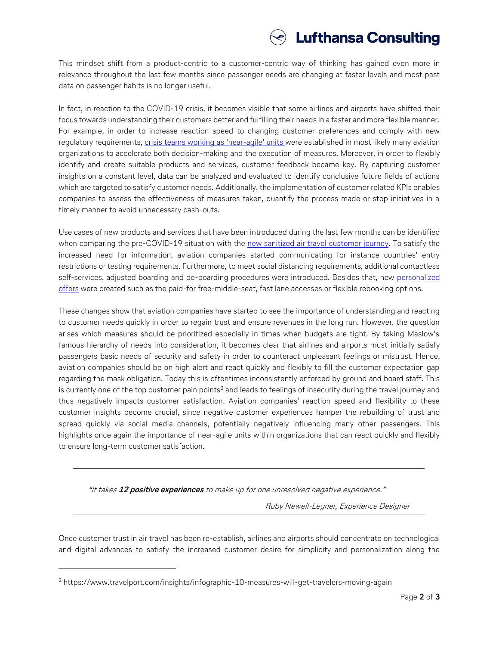

This mindset shift from a product-centric to a customer-centric way of thinking has gained even more in relevance throughout the last few months since passenger needs are changing at faster levels and most past data on passenger habits is no longer useful.

In fact, in reaction to the COVID-19 crisis, it becomes visible that some airlines and airports have shifted their focus towards understanding their customers better and fulfilling their needs in a faster and more flexible manner. For example, in order to increase reaction speed to changing customer preferences and comply with new regulatory requirements, [crisis teams working](https://www.lhconsulting.com/company/news/article/shaping-flexible-organizations-an-organizational-perspective/) as 'near-agile' units were established in most likely many aviation organizations to accelerate both decision-making and the execution of measures. Moreover, in order to flexibly identify and create suitable products and services, customer feedback became key. By capturing customer insights on a constant level, data can be analyzed and evaluated to identify conclusive future fields of actions which are targeted to satisfy customer needs. Additionally, the implementation of customer related KPIs enables companies to assess the effectiveness of measures taken, quantify the process made or stop initiatives in a timely manner to avoid unnecessary cash-outs.

Use cases of new products and services that have been introduced during the last few months can be identified when comparing the pre-COVID-19 situation with the [new sanitized air travel customer journey.](https://www.lhconsulting.com/company/news/article/the-new-sanitized-air-travel-customer-journey-possibilities-for-a-post-covid-19-world/) To satisfy the increased need for information, aviation companies started communicating for instance countries' entry restrictions or testing requirements. Furthermore, to meet social distancing requirements, additional contactless self-services, adjusted boarding and de-boarding procedures were introduced. Besides that, new [personalized](https://www.lhconsulting.com/company/news/article/personalizing-the-passenger-experience-as-a-way-out-of-the-covid-19-crisis/)  [offers](https://www.lhconsulting.com/company/news/article/personalizing-the-passenger-experience-as-a-way-out-of-the-covid-19-crisis/) were created such as the paid-for free-middle-seat, fast lane accesses or flexible rebooking options.

These changes show that aviation companies have started to see the importance of understanding and reacting to customer needs quickly in order to regain trust and ensure revenues in the long run. However, the question arises which measures should be prioritized especially in times when budgets are tight. By taking Maslow's famous hierarchy of needs into consideration, it becomes clear that airlines and airports must initially satisfy passengers basic needs of security and safety in order to counteract unpleasant feelings or mistrust. Hence, aviation companies should be on high alert and react quickly and flexibly to fill the customer expectation gap regarding the mask obligation. Today this is oftentimes inconsistently enforced by ground and board staff. This is currently one of the top customer pain points<sup>2</sup> and leads to feelings of insecurity during the travel journey and thus negatively impacts customer satisfaction. Aviation companies' reaction speed and flexibility to these customer insights become crucial, since negative customer experiences hamper the rebuilding of trust and spread quickly via social media channels, potentially negatively influencing many other passengers. This highlights once again the importance of near-agile units within organizations that can react quickly and flexibly to ensure long-term customer satisfaction.

"It takes **12 positive experiences** to make up for one unresolved negative experience."

Ruby Newell-Legner, Experience Designer

Once customer trust in air travel has been re-establish, airlines and airports should concentrate on technological and digital advances to satisfy the increased customer desire for simplicity and personalization along the

 $\overline{a}$ 

<sup>2</sup> https://www.travelport.com/insights/infographic-10-measures-will-get-travelers-moving-again